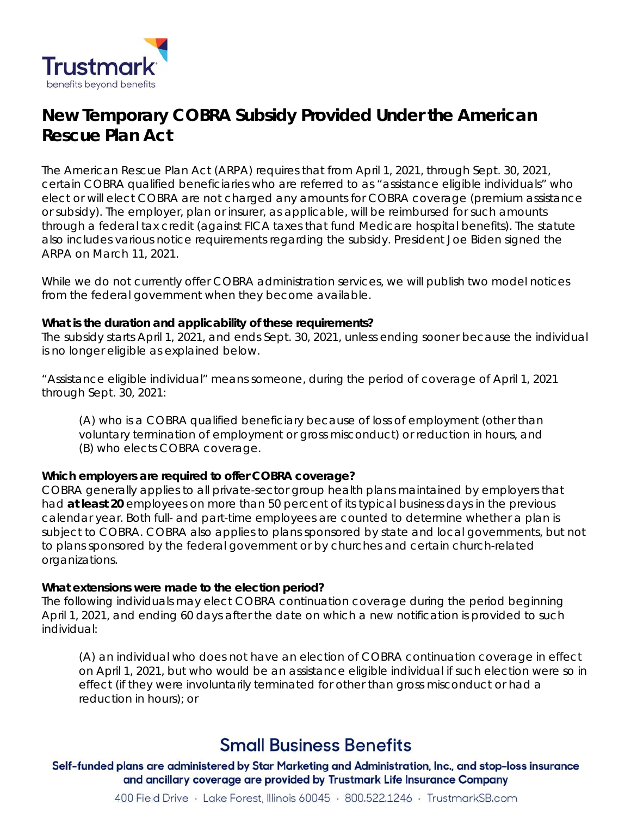

# **New Temporary COBRA Subsidy Provided Under the American Rescue Plan Act**

 The American Rescue Plan Act (ARPA) requires that from April 1, 2021, through Sept. 30, 2021, through a federal tax credit (against FICA taxes that fund Medicare hospital benefits). The statute certain COBRA qualified beneficiaries who are referred to as "assistance eligible individuals" who elect or will elect COBRA are not charged any amounts for COBRA coverage (premium assistance or subsidy). The employer, plan or insurer, as applicable, will be reimbursed for such amounts also includes various notice requirements regarding the subsidy. President Joe Biden signed the ARPA on March 11, 2021.

While we do not currently offer COBRA administration services, we will publish two model notices from the federal government when they become available.

## **What is the duration and applicability of these requirements?**

 The subsidy starts April 1, 2021, and ends Sept. 30, 2021, unless ending sooner because the individual is no longer eligible as explained below.

 through Sept. 30, 2021: "Assistance eligible individual" means someone, during the period of coverage of April 1, 2021

 (B) who elects COBRA coverage. (A) who is a COBRA qualified beneficiary because of loss of employment (other than voluntary termination of employment or gross misconduct) or reduction in hours, and

# **Which employers are required to offer COBRA coverage?**

COBRA generally applies to all private-sector group health plans maintained by employers that had **at least 20** employees on more than 50 percent of its typical business days in the previous calendar year. Both full- and part-time employees are counted to determine whether a plan is subject to COBRA. COBRA also applies to plans sponsored by state and local governments, but not to plans sponsored by the federal government or by churches and certain church-related organizations.

## **What extensions were made to the election period?**

individual: The following individuals may elect COBRA continuation coverage during the period beginning April 1, 2021, and ending 60 days after the date on which a new notification is provided to such

 effect (if they were involuntarily terminated for other than gross misconduct or had a (A) an individual who does not have an election of COBRA continuation coverage in effect on April 1, 2021, but who would be an assistance eligible individual if such election were so in reduction in hours); or

# **Small Business Benefits**

Self-funded plans are administered by Star Marketing and Administration, Inc., and stop-loss insurance and ancillary coverage are provided by Trustmark Life Insurance Company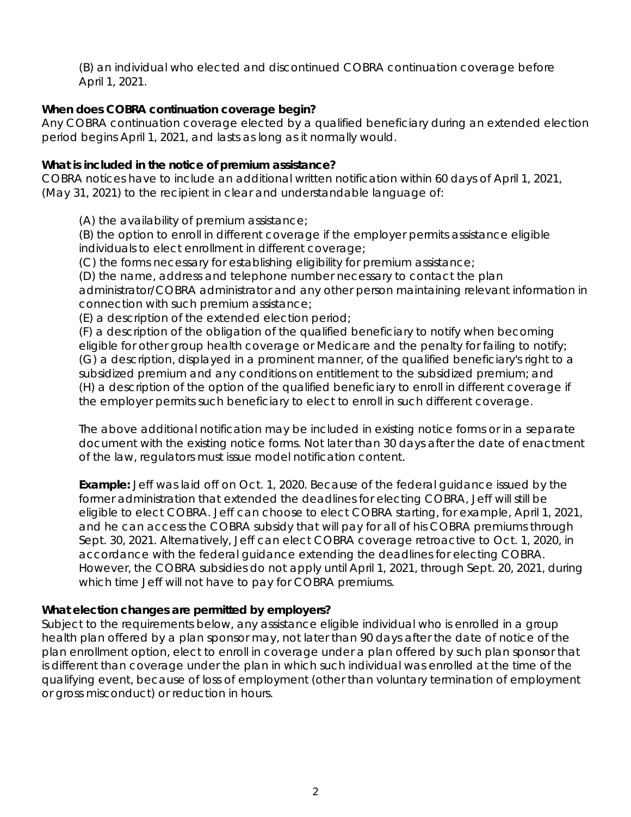April 1, 2021. (B) an individual who elected and discontinued COBRA continuation coverage before

# **When does COBRA continuation coverage begin?**

 period begins April 1, 2021, and lasts as long as it normally would. Any COBRA continuation coverage elected by a qualified beneficiary during an extended election

## **What is included in the notice of premium assistance?**

 COBRA notices have to include an additional written notification within 60 days of April 1, 2021, (May 31, 2021) to the recipient in clear and understandable language of:

(A) the availability of premium assistance;

(B) the option to enroll in different coverage if the employer permits assistance eligible individuals to elect enrollment in different coverage;

(C) the forms necessary for establishing eligibility for premium assistance;

(D) the name, address and telephone number necessary to contact the plan administrator/COBRA administrator and any other person maintaining relevant information in connection with such premium assistance;

(E) a description of the extended election period;

(F) a description of the obligation of the qualified beneficiary to notify when becoming eligible for other group health coverage or Medicare and the penalty for failing to notify; (G) a description, displayed in a prominent manner, of the qualified beneficiary's right to a subsidized premium and any conditions on entitlement to the subsidized premium; and (H) a description of the option of the qualified beneficiary to enroll in different coverage if the employer permits such beneficiary to elect to enroll in such different coverage.

 document with the existing notice forms. Not later than 30 days after the date of enactment of the law, regulators must issue model notification content. The above additional notification may be included in existing notice forms or in a separate

 Sept. 30, 2021. Alternatively, Jeff can elect COBRA coverage retroactive to Oct. 1, 2020, in accordance with the federal guidance extending the deadlines for electing COBRA. **Example:** Jeff was laid off on Oct. 1, 2020. Because of the federal guidance issued by the former administration that extended the deadlines for electing COBRA, Jeff will still be eligible to elect COBRA. Jeff can choose to elect COBRA starting, for example, April 1, 2021, and he can access the COBRA subsidy that will pay for all of his COBRA premiums through However, the COBRA subsidies do not apply until April 1, 2021, through Sept. 20, 2021, during which time Jeff will not have to pay for COBRA premiums.

## **What election changes are permitted by employers?**

 is different than coverage under the plan in which such individual was enrolled at the time of the Subject to the requirements below, any assistance eligible individual who is enrolled in a group health plan offered by a plan sponsor may, not later than 90 days after the date of notice of the plan enrollment option, elect to enroll in coverage under a plan offered by such plan sponsor that qualifying event, because of loss of employment (other than voluntary termination of employment or gross misconduct) or reduction in hours.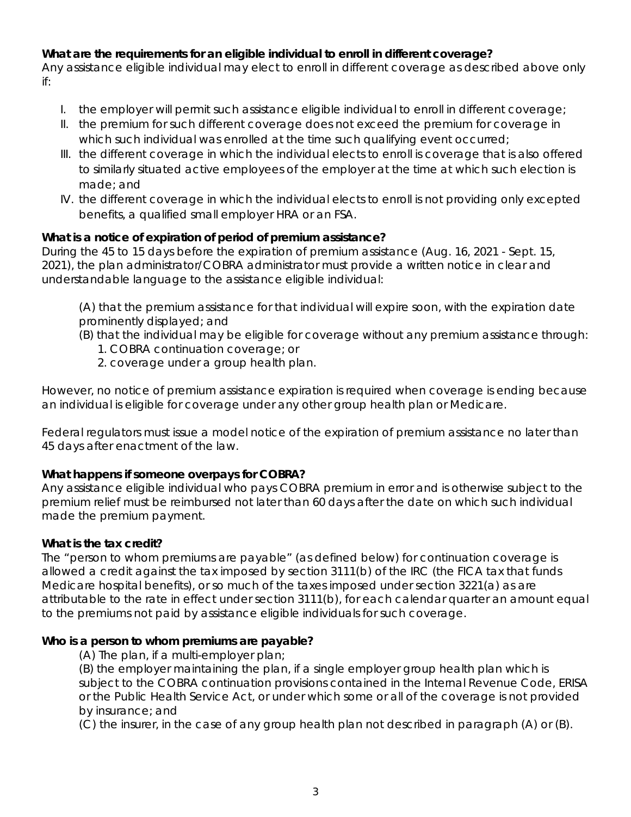# **What are the requirements for an eligible individual to enroll in different coverage?**

 Any assistance eligible individual may elect to enroll in different coverage as described above only if:

- I. the employer will permit such assistance eligible individual to enroll in different coverage;
- II. the premium for such different coverage does not exceed the premium for coverage in which such individual was enrolled at the time such qualifying event occurred;
- III. the different coverage in which the individual elects to enroll is coverage that is also offered to similarly situated active employees of the employer at the time at which such election is made; and
- IV. the different coverage in which the individual elects to enroll is not providing only excepted benefits, a qualified small employer HRA or an FSA.

# **What is a notice of expiration of period of premium assistance?**

understandable language to the assistance eligible individual: During the 45 to 15 days before the expiration of premium assistance (Aug. 16, 2021 - Sept. 15, 2021), the plan administrator/COBRA administrator must provide a written notice in clear and

(A) that the premium assistance for that individual will expire soon, with the expiration date prominently displayed; and

- (B) that the individual may be eligible for coverage without any premium assistance through: 1. COBRA continuation coverage; or
	-
	- 2. coverage under a group health plan.

an individual is eligible for coverage under any other group health plan or Medicare. However, no notice of premium assistance expiration is required when coverage is ending because

 45 days after enactment of the law. Federal regulators must issue a model notice of the expiration of premium assistance no later than

## **What happens if someone overpays for COBRA?**

 made the premium payment. Any assistance eligible individual who pays COBRA premium in error and is otherwise subject to the premium relief must be reimbursed not later than 60 days after the date on which such individual

## **What is the tax credit?**

 to the premiums not paid by assistance eligible individuals for such coverage. The "person to whom premiums are payable" (as defined below) for continuation coverage is allowed a credit against the tax imposed by section 3111(b) of the IRC (the FICA tax that funds Medicare hospital benefits), or so much of the taxes imposed under section 3221(a) as are attributable to the rate in effect under section 3111(b), for each calendar quarter an amount equal

## **Who is a person to whom premiums are payable?**

(A) The plan, if a multi-employer plan;

 subject to the COBRA continuation provisions contained in the Internal Revenue Code, ERISA (B) the employer maintaining the plan, if a single employer group health plan which is or the Public Health Service Act, or under which some or all of the coverage is not provided by insurance; and

(C) the insurer, in the case of any group health plan not described in paragraph (A) or (B).